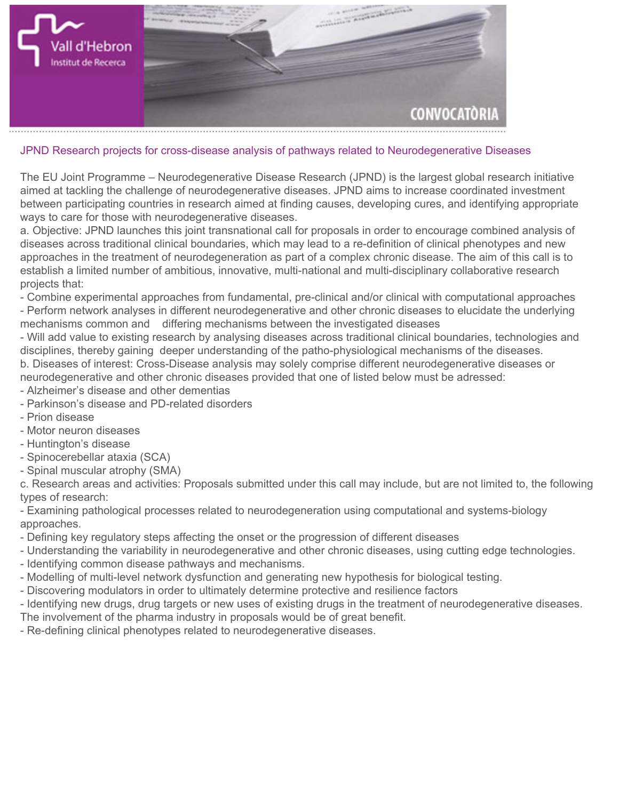

## **JPND Research projects for cross-disease analysis of pathways related to Neurodegenerative Diseases**

**The EU Joint Programme – Neurodegenerative Disease Research (JPND) is the largest global research initiative aimed at tackling the challenge of neurodegenerative diseases. JPND aims to increase coordinated investment between participating countries in research aimed at finding causes, developing cures, and identifying appropriate ways to care for those with neurodegenerative diseases.**

**a. Objective: JPND launches this joint transnational call for proposals in order to encourage combined analysis of diseases across traditional clinical boundaries, which may lead to a re-definition of clinical phenotypes and new approaches in the treatment of neurodegeneration as part of a complex chronic disease. The aim of this call is to establish a limited number of ambitious, innovative, multi-national and multi-disciplinary collaborative research projects that:**

**- Combine experimental approaches from fundamental, pre-clinical and/or clinical with computational approaches - Perform network analyses in different neurodegenerative and other chronic diseases to elucidate the underlying mechanisms common and differing mechanisms between the investigated diseases**

**- Will add value to existing research by analysing diseases across traditional clinical boundaries, technologies and disciplines, thereby gaining deeper understanding of the patho-physiological mechanisms of the diseases. b. Diseases of interest: Cross-Disease analysis may solely comprise different neurodegenerative diseases or neurodegenerative and other chronic diseases provided that one of listed below must be adressed:**

- **Alzheimer's disease and other dementias**
- **Parkinson's disease and PD-related disorders**
- **Prion disease**
- **Motor neuron diseases**
- **Huntington's disease**
- **Spinocerebellar ataxia (SCA)**
- **Spinal muscular atrophy (SMA)**

**c. Research areas and activities: Proposals submitted under this call may include, but are not limited to, the following types of research:**

**- Examining pathological processes related to neurodegeneration using computational and systems-biology approaches.**

- **Defining key regulatory steps affecting the onset or the progression of different diseases**
- **Understanding the variability in neurodegenerative and other chronic diseases, using cutting edge technologies.**
- **Identifying common disease pathways and mechanisms.**
- **Modelling of multi-level network dysfunction and generating new hypothesis for biological testing.**
- **Discovering modulators in order to ultimately determine protective and resilience factors**
- **Identifying new drugs, drug targets or new uses of existing drugs in the treatment of neurodegenerative diseases.**
- **The involvement of the pharma industry in proposals would be of great benefit.**
- **Re-defining clinical phenotypes related to neurodegenerative diseases.**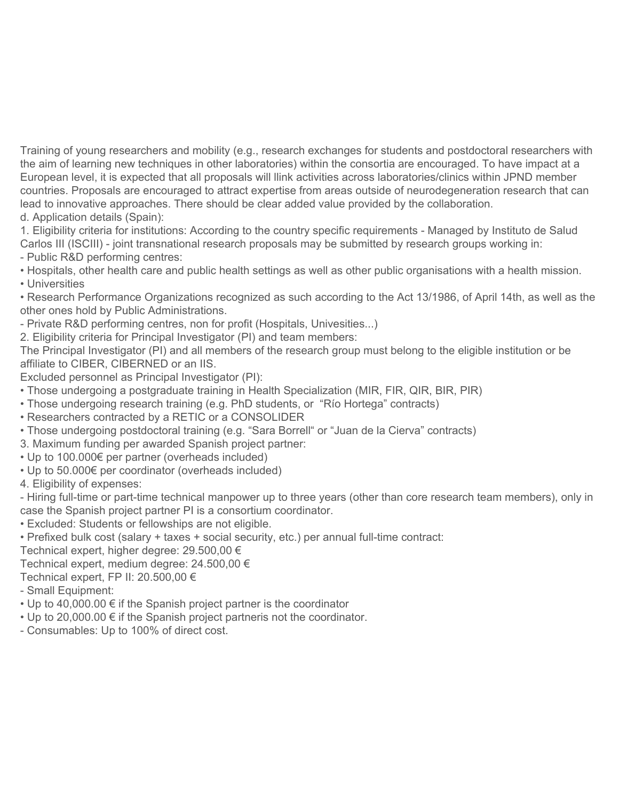**Training of young researchers and mobility (e.g., research exchanges for students and postdoctoral researchers with the aim of learning new techniques in other laboratories) within the consortia are encouraged. To have impact at a European level, it is expected that all proposals will llink activities across laboratories/clinics within JPND member countries. Proposals are encouraged to attract expertise from areas outside of neurodegeneration research that can lead to innovative approaches. There should be clear added value provided by the collaboration. d. Application details (Spain):**

**1. Eligibility criteria for institutions: According to the country specific requirements - Managed by Instituto de Salud Carlos III (ISCIII) - joint transnational research proposals may be submitted by research groups working in:**

- **Public R&D performing centres:**
- **Hospitals, other health care and public health settings as well as other public organisations with a health mission.**
- **Universities**

**• Research Performance Organizations recognized as such according to the Act 13/1986, of April 14th, as well as the other ones hold by Public Administrations.**

**- Private R&D performing centres, non for profit (Hospitals, Univesities...)**

**2. Eligibility criteria for Principal Investigator (PI) and team members:**

**The Principal Investigator (PI) and all members of the research group must belong to the eligible institution or be affiliate to CIBER, CIBERNED or an IIS.** 

**Excluded personnel as Principal Investigator (PI):**

- **Those undergoing a postgraduate training in Health Specialization (MIR, FIR, QIR, BIR, PIR)**
- **Those undergoing research training (e.g. PhD students, or "Río Hortega" contracts)**

**• Researchers contracted by a RETIC or a CONSOLIDER**

**• Those undergoing postdoctoral training (e.g. "Sara Borrell" or "Juan de la Cierva" contracts)**

**3. Maximum funding per awarded Spanish project partner:**

- **Up to 100.000€ per partner (overheads included)**
- **Up to 50.000€ per coordinator (overheads included)**

**4. Eligibility of expenses:**

**- Hiring full-time or part-time technical manpower up to three years (other than core research team members), only in case the Spanish project partner PI is a consortium coordinator.**

- **Excluded: Students or fellowships are not eligible.**
- **Prefixed bulk cost (salary + taxes + social security, etc.) per annual full-time contract:**

**Technical expert, higher degree: 29.500,00 €**

**Technical expert, medium degree: 24.500,00 €**

- **Technical expert, FP II: 20.500,00 €**
- **Small Equipment:**
- **Up to 40,000.00 € if the Spanish project partner is the coordinator**
- **Up to 20,000.00 € if the Spanish project partneris not the coordinator.**
- **Consumables: Up to 100% of direct cost.**